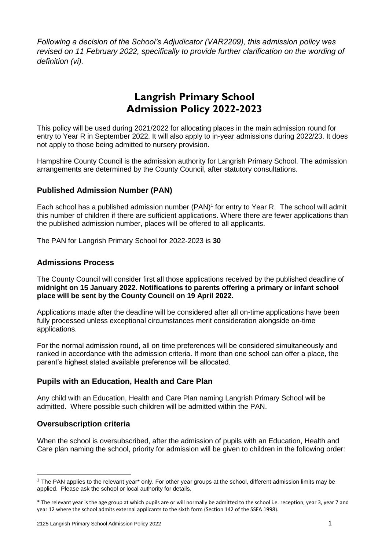*Following a decision of the School's Adjudicator (VAR2209), this admission policy was revised on 11 February 2022, specifically to provide further clarification on the wording of definition (vi).*

# **Langrish Primary School Admission Policy 2022-2023**

This policy will be used during 2021/2022 for allocating places in the main admission round for entry to Year R in September 2022. It will also apply to in-year admissions during 2022/23. It does not apply to those being admitted to nursery provision.

Hampshire County Council is the admission authority for Langrish Primary School. The admission arrangements are determined by the County Council, after statutory consultations.

# **Published Admission Number (PAN)**

Each school has a published admission number (PAN)<sup>1</sup> for entry to Year R. The school will admit this number of children if there are sufficient applications. Where there are fewer applications than the published admission number, places will be offered to all applicants.

The PAN for Langrish Primary School for 2022-2023 is **30**

### **Admissions Process**

The County Council will consider first all those applications received by the published deadline of **midnight on 15 January 2022**. **Notifications to parents offering a primary or infant school place will be sent by the County Council on 19 April 2022.**

Applications made after the deadline will be considered after all on-time applications have been fully processed unless exceptional circumstances merit consideration alongside on-time applications.

For the normal admission round, all on time preferences will be considered simultaneously and ranked in accordance with the admission criteria. If more than one school can offer a place, the parent's highest stated available preference will be allocated.

# **Pupils with an Education, Health and Care Plan**

Any child with an Education, Health and Care Plan naming Langrish Primary School will be admitted. Where possible such children will be admitted within the PAN.

# **Oversubscription criteria**

**.** 

When the school is oversubscribed, after the admission of pupils with an Education, Health and Care plan naming the school, priority for admission will be given to children in the following order:

<sup>1</sup> The PAN applies to the relevant year\* only. For other year groups at the school, different admission limits may be applied. Please ask the school or local authority for details.

<sup>\*</sup> The relevant year is the age group at which pupils are or will normally be admitted to the school i.e. reception, year 3, year 7 and year 12 where the school admits external applicants to the sixth form (Section 142 of the SSFA 1998).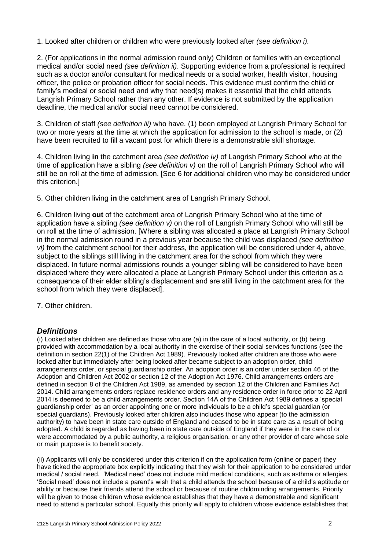1. Looked after children or children who were previously looked after *(see definition i).* 

2. (For applications in the normal admission round only) Children or families with an exceptional medical and/or social need *(see definition ii)*. Supporting evidence from a professional is required such as a doctor and/or consultant for medical needs or a social worker, health visitor, housing officer, the police or probation officer for social needs. This evidence must confirm the child or family's medical or social need and why that need(s) makes it essential that the child attends Langrish Primary School rather than any other. If evidence is not submitted by the application deadline, the medical and/or social need cannot be considered.

3. Children of staff *(see definition iii)* who have, (1) been employed at Langrish Primary School for two or more years at the time at which the application for admission to the school is made, or (2) have been recruited to fill a vacant post for which there is a demonstrable skill shortage.

4. Children living **in** the catchment area *(see definition iv)* of Langrish Primary School who at the time of application have a sibling *(see definition v)* on the roll of Langrish Primary School who will still be on roll at the time of admission. [See 6 for additional children who may be considered under this criterion.]

5. Other children living **in** the catchment area of Langrish Primary School*.*

6. Children living **out** of the catchment area of Langrish Primary School who at the time of application have a sibling *(see definition v)* on the roll of Langrish Primary School who will still be on roll at the time of admission. [Where a sibling was allocated a place at Langrish Primary School in the normal admission round in a previous year because the child was displaced *(see definition vi)* from the catchment school for their address, the application will be considered under 4, above, subject to the siblings still living in the catchment area for the school from which they were displaced. In future normal admissions rounds a younger sibling will be considered to have been displaced where they were allocated a place at Langrish Primary School under this criterion as a consequence of their elder sibling's displacement and are still living in the catchment area for the school from which they were displaced].

7. Other children.

# *Definitions*

(i) Looked after children are defined as those who are (a) in the care of a local authority, or (b) being provided with accommodation by a local authority in the exercise of their social services functions (see the definition in section 22(1) of the Children Act 1989). Previously looked after children are those who were looked after but immediately after being looked after became subject to an adoption order, child arrangements order, or special guardianship order. An adoption order is an order under section 46 of the Adoption and Children Act 2002 or section 12 of the Adoption Act 1976. Child arrangements orders are defined in section 8 of the Children Act 1989, as amended by section 12 of the Children and Families Act 2014. Child arrangements orders replace residence orders and any residence order in force prior to 22 April 2014 is deemed to be a child arrangements order. Section 14A of the Children Act 1989 defines a 'special guardianship order' as an order appointing one or more individuals to be a child's special guardian (or special guardians). Previously looked after children also includes those who appear (to the admission authority) to have been in state care outside of England and ceased to be in state care as a result of being adopted. A child is regarded as having been in state care outside of England if they were in the care of or were accommodated by a public authority, a religious organisation, or any other provider of care whose sole or main purpose is to benefit society.

(ii) Applicants will only be considered under this criterion if on the application form (online or paper) they have ticked the appropriate box explicitly indicating that they wish for their application to be considered under medical / social need. 'Medical need' does not include mild medical conditions, such as asthma or allergies. 'Social need' does not include a parent's wish that a child attends the school because of a child's aptitude or ability or because their friends attend the school or because of routine childminding arrangements. Priority will be given to those children whose evidence establishes that they have a demonstrable and significant need to attend a particular school. Equally this priority will apply to children whose evidence establishes that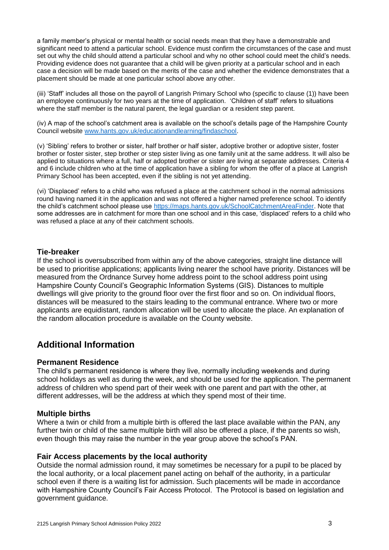a family member's physical or mental health or social needs mean that they have a demonstrable and significant need to attend a particular school. Evidence must confirm the circumstances of the case and must set out why the child should attend a particular school and why no other school could meet the child's needs. Providing evidence does not guarantee that a child will be given priority at a particular school and in each case a decision will be made based on the merits of the case and whether the evidence demonstrates that a placement should be made at one particular school above any other.

(iii) 'Staff' includes all those on the payroll of Langrish Primary School who (specific to clause (1)) have been an employee continuously for two years at the time of application. 'Children of staff' refers to situations where the staff member is the natural parent, the legal guardian or a resident step parent.

(iv) A map of the school's catchment area is available on the school's details page of the Hampshire County Council website [www.hants.gov.uk/educationandlearning/findaschool.](http://www.hants.gov.uk/educationandlearning/findaschool)

(v) 'Sibling' refers to brother or sister, half brother or half sister, adoptive brother or adoptive sister, foster brother or foster sister, step brother or step sister living as one family unit at the same address. It will also be applied to situations where a full, half or adopted brother or sister are living at separate addresses. Criteria 4 and 6 include children who at the time of application have a sibling for whom the offer of a place at Langrish Primary School has been accepted, even if the sibling is not yet attending.

(vi) 'Displaced' refers to a child who was refused a place at the catchment school in the normal admissions round having named it in the application and was not offered a higher named preference school. To identify the child's catchment school please use [https://maps.hants.gov.uk/SchoolCatchmentAreaFinder.](https://maps.hants.gov.uk/SchoolCatchmentAreaFinder/) Note that some addresses are in catchment for more than one school and in this case, 'displaced' refers to a child who was refused a place at any of their catchment schools.

### **Tie-breaker**

If the school is oversubscribed from within any of the above categories, straight line distance will be used to prioritise applications; applicants living nearer the school have priority. Distances will be measured from the Ordnance Survey home address point to the school address point using Hampshire County Council's Geographic Information Systems (GIS). Distances to multiple dwellings will give priority to the ground floor over the first floor and so on. On individual floors, distances will be measured to the stairs leading to the communal entrance. Where two or more applicants are equidistant, random allocation will be used to allocate the place. An explanation of the random allocation procedure is available on the County website.

# **Additional Information**

#### **Permanent Residence**

The child's permanent residence is where they live, normally including weekends and during school holidays as well as during the week, and should be used for the application. The permanent address of children who spend part of their week with one parent and part with the other, at different addresses, will be the address at which they spend most of their time.

#### **Multiple births**

Where a twin or child from a multiple birth is offered the last place available within the PAN, any further twin or child of the same multiple birth will also be offered a place, if the parents so wish, even though this may raise the number in the year group above the school's PAN.

#### **Fair Access placements by the local authority**

Outside the normal admission round, it may sometimes be necessary for a pupil to be placed by the local authority, or a local placement panel acting on behalf of the authority, in a particular school even if there is a waiting list for admission. Such placements will be made in accordance with Hampshire County Council's Fair Access Protocol. The Protocol is based on legislation and government guidance.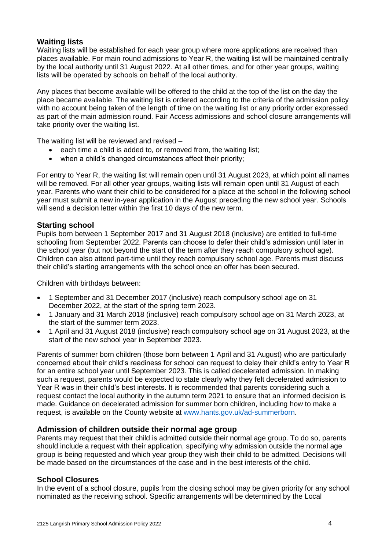### **Waiting lists**

Waiting lists will be established for each year group where more applications are received than places available. For main round admissions to Year R, the waiting list will be maintained centrally by the local authority until 31 August 2022. At all other times, and for other year groups, waiting lists will be operated by schools on behalf of the local authority.

Any places that become available will be offered to the child at the top of the list on the day the place became available. The waiting list is ordered according to the criteria of the admission policy with no account being taken of the length of time on the waiting list or any priority order expressed as part of the main admission round. Fair Access admissions and school closure arrangements will take priority over the waiting list.

The waiting list will be reviewed and revised –

- each time a child is added to, or removed from, the waiting list;
- when a child's changed circumstances affect their priority;

For entry to Year R, the waiting list will remain open until 31 August 2023, at which point all names will be removed. For all other year groups, waiting lists will remain open until 31 August of each year. Parents who want their child to be considered for a place at the school in the following school year must submit a new in-year application in the August preceding the new school year. Schools will send a decision letter within the first 10 days of the new term.

### **Starting school**

Pupils born between 1 September 2017 and 31 August 2018 (inclusive) are entitled to full-time schooling from September 2022. Parents can choose to defer their child's admission until later in the school year (but not beyond the start of the term after they reach compulsory school age). Children can also attend part-time until they reach compulsory school age. Parents must discuss their child's starting arrangements with the school once an offer has been secured.

Children with birthdays between:

- 1 September and 31 December 2017 (inclusive) reach compulsory school age on 31 December 2022, at the start of the spring term 2023.
- 1 January and 31 March 2018 (inclusive) reach compulsory school age on 31 March 2023, at the start of the summer term 2023.
- 1 April and 31 August 2018 (inclusive) reach compulsory school age on 31 August 2023, at the start of the new school year in September 2023.

Parents of summer born children (those born between 1 April and 31 August) who are particularly concerned about their child's readiness for school can request to delay their child's entry to Year R for an entire school year until September 2023. This is called decelerated admission. In making such a request, parents would be expected to state clearly why they felt decelerated admission to Year R was in their child's best interests. It is recommended that parents considering such a request contact the local authority in the autumn term 2021 to ensure that an informed decision is made. Guidance on decelerated admission for summer born children, including how to make a request, is available on the County website at [www.hants.gov.uk/ad-summerborn.](http://www.hants.gov.uk/ad-summerborn)

### **Admission of children outside their normal age group**

Parents may request that their child is admitted outside their normal age group. To do so, parents should include a request with their application, specifying why admission outside the normal age group is being requested and which year group they wish their child to be admitted. Decisions will be made based on the circumstances of the case and in the best interests of the child.

### **School Closures**

In the event of a school closure, pupils from the closing school may be given priority for any school nominated as the receiving school. Specific arrangements will be determined by the Local